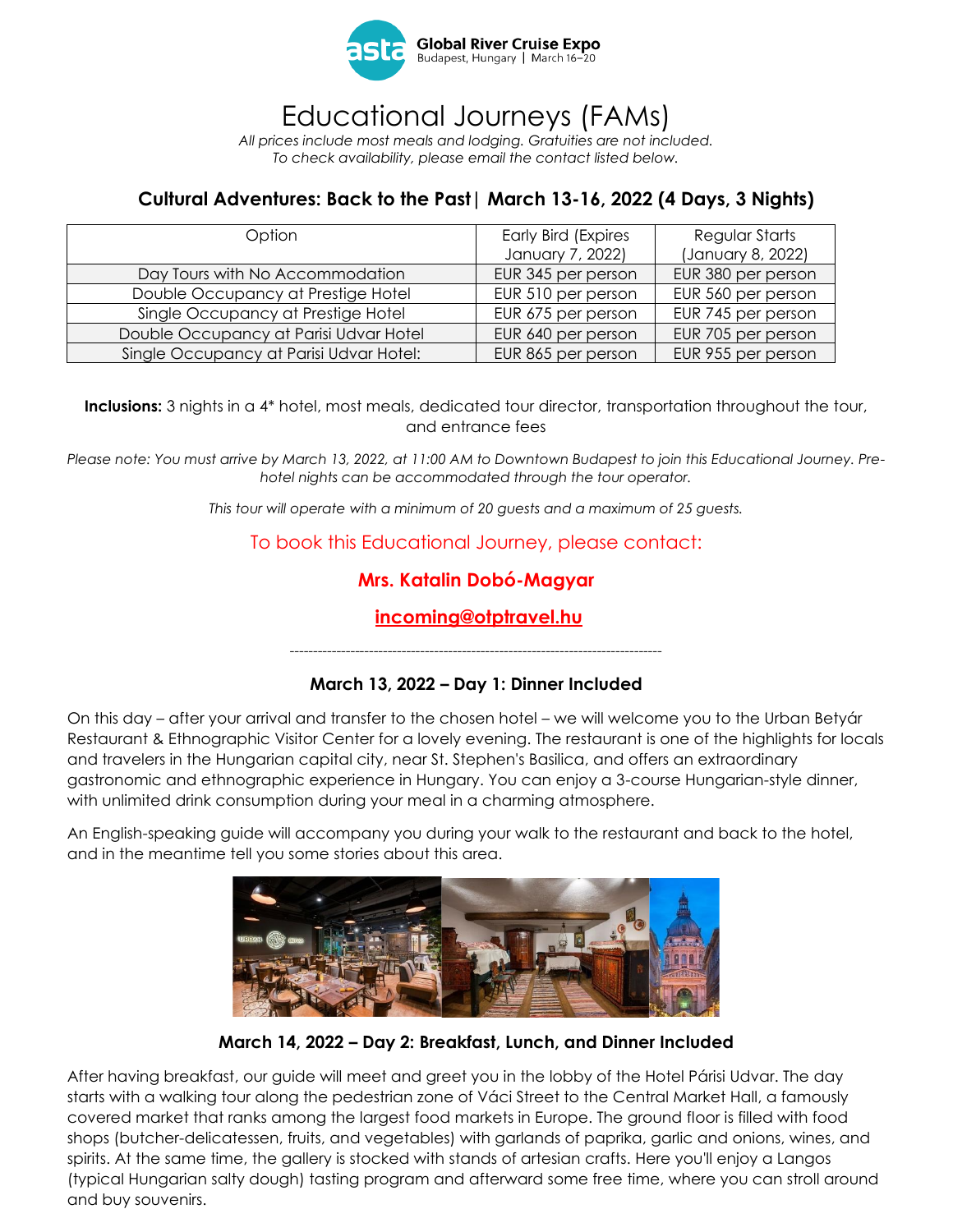

## Educational Journeys (FAMs)

*All prices include most meals and lodging. Gratuities are not included. To check availability, please email the contact listed below.*

### **Cultural Adventures: Back to the Past| March 13-16, 2022 (4 Days, 3 Nights)**

| Option                                  | <b>Early Bird (Expires</b> | Regular Starts     |
|-----------------------------------------|----------------------------|--------------------|
|                                         | January 7, 2022)           | (January 8, 2022)  |
| Day Tours with No Accommodation         | EUR 345 per person         | EUR 380 per person |
| Double Occupancy at Prestige Hotel      | EUR 510 per person         | EUR 560 per person |
| Single Occupancy at Prestige Hotel      | EUR 675 per person         | EUR 745 per person |
| Double Occupancy at Parisi Udvar Hotel  | EUR 640 per person         | EUR 705 per person |
| Single Occupancy at Parisi Udvar Hotel: | EUR 865 per person         | EUR 955 per person |

**Inclusions:** 3 nights in a 4\* hotel, most meals, dedicated tour director, transportation throughout the tour, and entrance fees

*Please note: You must arrive by March 13, 2022, at 11:00 AM to Downtown Budapest to join this Educational Journey. Prehotel nights can be accommodated through the tour operator.* 

*This tour will operate with a minimum of 20 guests and a maximum of 25 guests.*

To book this Educational Journey, please contact:

### **Mrs. Katalin Dobó-Magyar**

**[incoming@otptravel.hu](mailto:incoming@otptravel.hu)**

*--------------------------------------------------------------------------------*

#### **March 13, 2022 – Day 1: Dinner Included**

On this day – after your arrival and transfer to the chosen hotel – we will welcome you to the Urban Betyár Restaurant & Ethnographic Visitor Center for a lovely evening. The restaurant is one of the highlights for locals and travelers in the Hungarian capital city, near St. Stephen's Basilica, and offers an extraordinary gastronomic and ethnographic experience in Hungary. You can enjoy a 3-course Hungarian-style dinner, with unlimited drink consumption during your meal in a charming atmosphere.

An English-speaking guide will accompany you during your walk to the restaurant and back to the hotel, and in the meantime tell you some stories about this area.



**March 14, 2022 – Day 2: Breakfast, Lunch, and Dinner Included**

After having breakfast, our guide will meet and greet you in the lobby of the Hotel Párisi Udvar. The day starts with a walking tour along the pedestrian zone of Váci Street to the Central Market Hall, a famously covered market that ranks among the largest food markets in Europe. The ground floor is filled with food shops (butcher-delicatessen, fruits, and vegetables) with garlands of paprika, garlic and onions, wines, and spirits. At the same time, the gallery is stocked with stands of artesian crafts. Here you'll enjoy a Langos (typical Hungarian salty dough) tasting program and afterward some free time, where you can stroll around and buy souvenirs.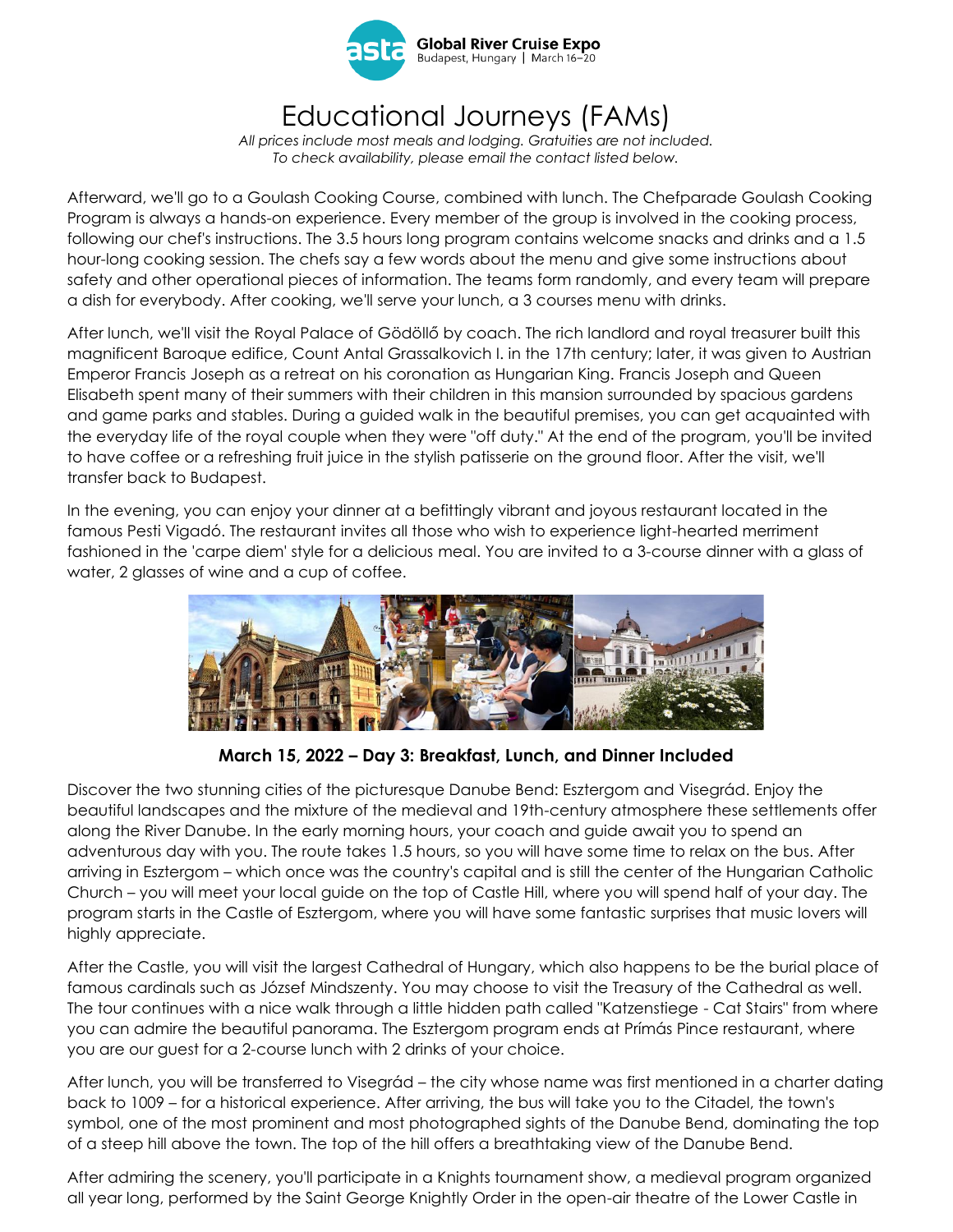

# Educational Journeys (FAMs)

*All prices include most meals and lodging. Gratuities are not included. To check availability, please email the contact listed below.*

Afterward, we'll go to a Goulash Cooking Course, combined with lunch. The Chefparade Goulash Cooking Program is always a hands-on experience. Every member of the group is involved in the cooking process, following our chef's instructions. The 3.5 hours long program contains welcome snacks and drinks and a 1.5 hour-long cooking session. The chefs say a few words about the menu and give some instructions about safety and other operational pieces of information. The teams form randomly, and every team will prepare a dish for everybody. After cooking, we'll serve your lunch, a 3 courses menu with drinks.

After lunch, we'll visit the Royal Palace of Gödöllő by coach. The rich landlord and royal treasurer built this magnificent Baroque edifice, Count Antal Grassalkovich I. in the 17th century; later, it was given to Austrian Emperor Francis Joseph as a retreat on his coronation as Hungarian King. Francis Joseph and Queen Elisabeth spent many of their summers with their children in this mansion surrounded by spacious gardens and game parks and stables. During a guided walk in the beautiful premises, you can get acquainted with the everyday life of the royal couple when they were "off duty." At the end of the program, you'll be invited to have coffee or a refreshing fruit juice in the stylish patisserie on the ground floor. After the visit, we'll transfer back to Budapest.

In the evening, you can enjoy your dinner at a befittingly vibrant and joyous restaurant located in the famous Pesti Vigadó. The restaurant invites all those who wish to experience light-hearted merriment fashioned in the 'carpe diem' style for a delicious meal. You are invited to a 3-course dinner with a glass of water, 2 glasses of wine and a cup of coffee.



**March 15, 2022 – Day 3: Breakfast, Lunch, and Dinner Included**

Discover the two stunning cities of the picturesque Danube Bend: Esztergom and Visegrád. Enjoy the beautiful landscapes and the mixture of the medieval and 19th-century atmosphere these settlements offer along the River Danube. In the early morning hours, your coach and guide await you to spend an adventurous day with you. The route takes 1.5 hours, so you will have some time to relax on the bus. After arriving in Esztergom – which once was the country's capital and is still the center of the Hungarian Catholic Church – you will meet your local guide on the top of Castle Hill, where you will spend half of your day. The program starts in the Castle of Esztergom, where you will have some fantastic surprises that music lovers will highly appreciate.

After the Castle, you will visit the largest Cathedral of Hungary, which also happens to be the burial place of famous cardinals such as József Mindszenty. You may choose to visit the Treasury of the Cathedral as well. The tour continues with a nice walk through a little hidden path called "Katzenstiege - Cat Stairs" from where you can admire the beautiful panorama. The Esztergom program ends at Prímás Pince restaurant, where you are our guest for a 2-course lunch with 2 drinks of your choice.

After lunch, you will be transferred to Visegrád – the city whose name was first mentioned in a charter dating back to 1009 – for a historical experience. After arriving, the bus will take you to the Citadel, the town's symbol, one of the most prominent and most photographed sights of the Danube Bend, dominating the top of a steep hill above the town. The top of the hill offers a breathtaking view of the Danube Bend.

After admiring the scenery, you'll participate in a Knights tournament show, a medieval program organized all year long, performed by the Saint George Knightly Order in the open-air theatre of the Lower Castle in